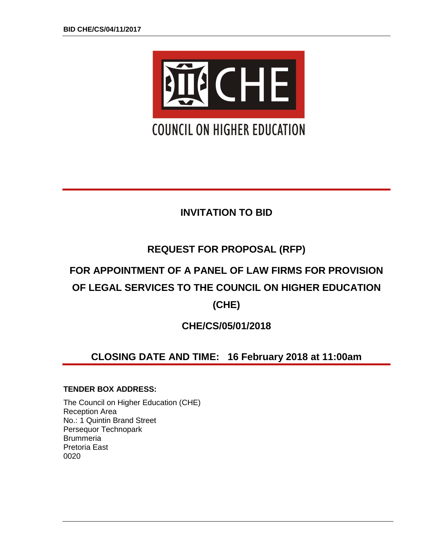

# **INVITATION TO BID**

# **REQUEST FOR PROPOSAL (RFP)**

# **FOR APPOINTMENT OF A PANEL OF LAW FIRMS FOR PROVISION OF LEGAL SERVICES TO THE COUNCIL ON HIGHER EDUCATION**

**(CHE)**

**CHE/CS/05/01/2018**

# **CLOSING DATE AND TIME: 16 February 2018 at 11:00am**

# **TENDER BOX ADDRESS:**

The Council on Higher Education (CHE) Reception Area No.: 1 Quintin Brand Street Persequor Technopark **Brummeria** Pretoria East 0020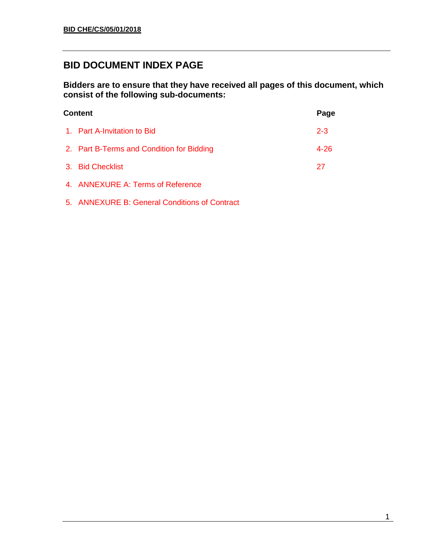# **BID DOCUMENT INDEX PAGE**

**Bidders are to ensure that they have received all pages of this document, which consist of the following sub-documents:**

| <b>Content</b>                            |          |  |
|-------------------------------------------|----------|--|
| 1. Part A-Invitation to Bid               | $2 - 3$  |  |
| 2. Part B-Terms and Condition for Bidding | $4 - 26$ |  |
| 3. Bid Checklist                          | 27       |  |
| 4. ANNEXURE A: Terms of Reference         |          |  |
|                                           |          |  |

5. ANNEXURE B: General Conditions of Contract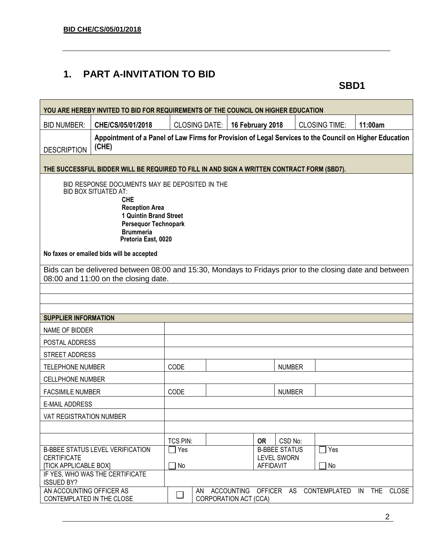# **1. PART A-INVITATION TO BID**

**SBD1**

|                                                                                                                                                                                                                          | YOU ARE HEREBY INVITED TO BID FOR REQUIREMENTS OF THE COUNCIL ON HIGHER EDUCATION                                                               |                     |                             |            |                                        |               |                      |                                  |
|--------------------------------------------------------------------------------------------------------------------------------------------------------------------------------------------------------------------------|-------------------------------------------------------------------------------------------------------------------------------------------------|---------------------|-----------------------------|------------|----------------------------------------|---------------|----------------------|----------------------------------|
| <b>BID NUMBER:</b>                                                                                                                                                                                                       | CHE/CS/05/01/2018                                                                                                                               |                     | <b>CLOSING DATE:</b>        |            | 16 February 2018                       |               | <b>CLOSING TIME:</b> | 11:00am                          |
| <b>DESCRIPTION</b>                                                                                                                                                                                                       | Appointment of a Panel of Law Firms for Provision of Legal Services to the Council on Higher Education<br>(CHE)                                 |                     |                             |            |                                        |               |                      |                                  |
|                                                                                                                                                                                                                          | THE SUCCESSFUL BIDDER WILL BE REQUIRED TO FILL IN AND SIGN A WRITTEN CONTRACT FORM (SBD7).                                                      |                     |                             |            |                                        |               |                      |                                  |
| BID RESPONSE DOCUMENTS MAY BE DEPOSITED IN THE<br><b>BID BOX SITUATED AT:</b><br><b>CHE</b><br><b>Reception Area</b><br>1 Quintin Brand Street<br><b>Persequor Technopark</b><br><b>Brummeria</b><br>Pretoria East, 0020 |                                                                                                                                                 |                     |                             |            |                                        |               |                      |                                  |
|                                                                                                                                                                                                                          | No faxes or emailed bids will be accepted                                                                                                       |                     |                             |            |                                        |               |                      |                                  |
|                                                                                                                                                                                                                          | Bids can be delivered between 08:00 and 15:30, Mondays to Fridays prior to the closing date and between<br>08:00 and 11:00 on the closing date. |                     |                             |            |                                        |               |                      |                                  |
|                                                                                                                                                                                                                          |                                                                                                                                                 |                     |                             |            |                                        |               |                      |                                  |
|                                                                                                                                                                                                                          |                                                                                                                                                 |                     |                             |            |                                        |               |                      |                                  |
| <b>SUPPLIER INFORMATION</b>                                                                                                                                                                                              |                                                                                                                                                 |                     |                             |            |                                        |               |                      |                                  |
| NAME OF BIDDER                                                                                                                                                                                                           |                                                                                                                                                 |                     |                             |            |                                        |               |                      |                                  |
| POSTAL ADDRESS                                                                                                                                                                                                           |                                                                                                                                                 |                     |                             |            |                                        |               |                      |                                  |
| STREET ADDRESS                                                                                                                                                                                                           |                                                                                                                                                 |                     |                             |            |                                        |               |                      |                                  |
| <b>TELEPHONE NUMBER</b>                                                                                                                                                                                                  |                                                                                                                                                 | CODE                |                             |            |                                        | <b>NUMBER</b> |                      |                                  |
| <b>CELLPHONE NUMBER</b>                                                                                                                                                                                                  |                                                                                                                                                 |                     |                             |            |                                        |               |                      |                                  |
| <b>FACSIMILE NUMBER</b>                                                                                                                                                                                                  |                                                                                                                                                 | CODE                |                             |            |                                        | <b>NUMBER</b> |                      |                                  |
| <b>E-MAIL ADDRESS</b>                                                                                                                                                                                                    |                                                                                                                                                 |                     |                             |            |                                        |               |                      |                                  |
| VAT REGISTRATION NUMBER                                                                                                                                                                                                  |                                                                                                                                                 |                     |                             |            |                                        |               |                      |                                  |
|                                                                                                                                                                                                                          |                                                                                                                                                 |                     |                             |            |                                        |               |                      |                                  |
|                                                                                                                                                                                                                          |                                                                                                                                                 | TCS PIN:            |                             |            | <b>OR</b>                              | CSD No:       |                      |                                  |
|                                                                                                                                                                                                                          | <b>B-BBEE STATUS LEVEL VERIFICATION</b>                                                                                                         | Yes                 |                             |            | <b>B-BBEE STATUS</b>                   |               | Yes                  |                                  |
| <b>CERTIFICATE</b><br><b>[TICK APPLICABLE BOX]</b>                                                                                                                                                                       |                                                                                                                                                 | No<br>$\mathcal{L}$ |                             |            | <b>LEVEL SWORN</b><br><b>AFFIDAVIT</b> |               | No                   |                                  |
| <b>ISSUED BY?</b>                                                                                                                                                                                                        | IF YES, WHO WAS THE CERTIFICATE                                                                                                                 |                     |                             |            |                                        |               |                      |                                  |
| AN ACCOUNTING OFFICER AS<br>CONTEMPLATED IN THE CLOSE                                                                                                                                                                    |                                                                                                                                                 | $\Box$              | AN<br>CORPORATION ACT (CCA) | ACCOUNTING | <b>OFFICER</b>                         | AS            | CONTEMPLATED         | <b>THE</b><br>IN<br><b>CLOSE</b> |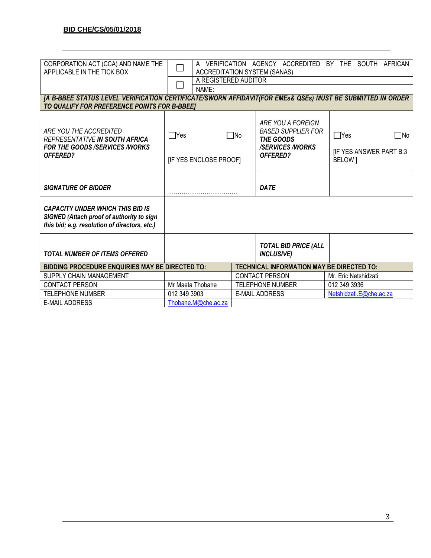| CORPORATION ACT (CCA) AND NAME THE<br>APPLICABLE IN THE TICK BOX                                                                                           | A VERIFICATION AGENCY ACCREDITED BY THE SOUTH AFRICAN<br><b>ACCREDITATION SYSTEM (SANAS)</b><br>A REGISTERED AUDITOR |  |                                                                                                   |                                                                        |
|------------------------------------------------------------------------------------------------------------------------------------------------------------|----------------------------------------------------------------------------------------------------------------------|--|---------------------------------------------------------------------------------------------------|------------------------------------------------------------------------|
|                                                                                                                                                            | NAME:                                                                                                                |  |                                                                                                   |                                                                        |
| [A B-BBEE STATUS LEVEL VERIFICATION CERTIFICATE/SWORN AFFIDAVIT(FOR EMES& QSEs) MUST BE SUBMITTED IN ORDER<br>TO QUALIFY FOR PREFERENCE POINTS FOR B-BBEET |                                                                                                                      |  |                                                                                                   |                                                                        |
| ARE YOU THE ACCREDITED<br>REPRESENTATIVE IN SOUTH AFRICA<br><b>FOR THE GOODS /SERVICES /WORKS</b><br><b>OFFERED?</b>                                       | $\Box$ Yes<br>$\square$ No<br>[IF YES ENCLOSE PROOF]                                                                 |  | ARE YOU A FOREIGN<br><b>BASED SUPPLIER FOR</b><br>THE GOODS<br><b>/SERVICES/WORKS</b><br>OFFERED? | $\Box$ Yes<br>$\square$ No<br><b>IF YES ANSWER PART B:3</b><br>BELOW 1 |
| <b>SIGNATURE OF BIDDER</b>                                                                                                                                 |                                                                                                                      |  | <b>DATE</b>                                                                                       |                                                                        |
| <b>CAPACITY UNDER WHICH THIS BID IS</b><br>SIGNED (Attach proof of authority to sign<br>this bid; e.g. resolution of directors, etc.)                      |                                                                                                                      |  |                                                                                                   |                                                                        |
| <b>TOTAL NUMBER OF ITEMS OFFERED</b>                                                                                                                       |                                                                                                                      |  | <b>TOTAL BID PRICE (ALL</b><br><b>INCLUSIVE</b> )                                                 |                                                                        |
| <b>BIDDING PROCEDURE ENQUIRIES MAY BE DIRECTED TO:</b>                                                                                                     |                                                                                                                      |  | <b>TECHNICAL INFORMATION MAY BE DIRECTED TO:</b>                                                  |                                                                        |
| SUPPLY CHAIN MANAGEMENT                                                                                                                                    |                                                                                                                      |  | <b>CONTACT PERSON</b>                                                                             | Mr. Eric Netshidzati                                                   |
| <b>CONTACT PERSON</b>                                                                                                                                      | Mr Maeta Thobane                                                                                                     |  | <b>TELEPHONE NUMBER</b>                                                                           | 012 349 3936                                                           |
| <b>TELEPHONE NUMBER</b>                                                                                                                                    | 012 349 3903                                                                                                         |  | <b>E-MAIL ADDRESS</b>                                                                             | Netshidzati.E@che.ac.za                                                |
| <b>E-MAIL ADDRESS</b>                                                                                                                                      | Thobane.M@che.ac.za                                                                                                  |  |                                                                                                   |                                                                        |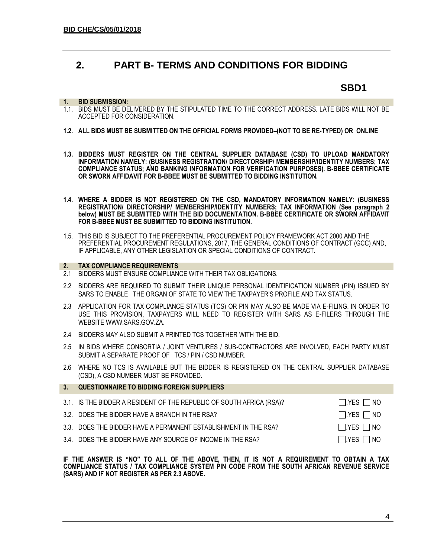# **2. PART B- TERMS AND CONDITIONS FOR BIDDING**

# **SBD1**

#### **1. BID SUBMISSION:**

- 1.1. BIDS MUST BE DELIVERED BY THE STIPULATED TIME TO THE CORRECT ADDRESS. LATE BIDS WILL NOT BE ACCEPTED FOR CONSIDERATION.
- **1.2. ALL BIDS MUST BE SUBMITTED ON THE OFFICIAL FORMS PROVIDED–(NOT TO BE RE-TYPED) OR ONLINE**
- **1.3. BIDDERS MUST REGISTER ON THE CENTRAL SUPPLIER DATABASE (CSD) TO UPLOAD MANDATORY INFORMATION NAMELY: (BUSINESS REGISTRATION/ DIRECTORSHIP/ MEMBERSHIP/IDENTITY NUMBERS; TAX COMPLIANCE STATUS; AND BANKING INFORMATION FOR VERIFICATION PURPOSES). B-BBEE CERTIFICATE OR SWORN AFFIDAVIT FOR B-BBEE MUST BE SUBMITTED TO BIDDING INSTITUTION.**
- **1.4. WHERE A BIDDER IS NOT REGISTERED ON THE CSD, MANDATORY INFORMATION NAMELY: (BUSINESS REGISTRATION/ DIRECTORSHIP/ MEMBERSHIP/IDENTITY NUMBERS; TAX INFORMATION (See paragraph 2 below) MUST BE SUBMITTED WITH THE BID DOCUMENTATION. B-BBEE CERTIFICATE OR SWORN AFFIDAVIT FOR B-BBEE MUST BE SUBMITTED TO BIDDING INSTITUTION.**
- 1.5. THIS BID IS SUBJECT TO THE PREFERENTIAL PROCUREMENT POLICY FRAMEWORK ACT 2000 AND THE PREFERENTIAL PROCUREMENT REGULATIONS, 2017, THE GENERAL CONDITIONS OF CONTRACT (GCC) AND, IF APPLICABLE, ANY OTHER LEGISLATION OR SPECIAL CONDITIONS OF CONTRACT.

#### **2. TAX COMPLIANCE REQUIREMENTS**

- 2.1 BIDDERS MUST ENSURE COMPLIANCE WITH THEIR TAX OBLIGATIONS.
- 2.2 BIDDERS ARE REQUIRED TO SUBMIT THEIR UNIQUE PERSONAL IDENTIFICATION NUMBER (PIN) ISSUED BY SARS TO ENABLE THE ORGAN OF STATE TO VIEW THE TAXPAYER'S PROFILE AND TAX STATUS.
- 2.3 APPLICATION FOR TAX COMPLIANCE STATUS (TCS) OR PIN MAY ALSO BE MADE VIA E-FILING. IN ORDER TO USE THIS PROVISION, TAXPAYERS WILL NEED TO REGISTER WITH SARS AS E-FILERS THROUGH THE WEBSIT[E WWW.SARS.GOV.ZA.](http://www.sars.gov.za/)
- 2.4 BIDDERS MAY ALSO SUBMIT A PRINTED TCS TOGETHER WITH THE BID.
- 2.5 IN BIDS WHERE CONSORTIA / JOINT VENTURES / SUB-CONTRACTORS ARE INVOLVED, EACH PARTY MUST SUBMIT A SEPARATE PROOF OF TCS / PIN / CSD NUMBER.
- 2.6 WHERE NO TCS IS AVAILABLE BUT THE BIDDER IS REGISTERED ON THE CENTRAL SUPPLIER DATABASE (CSD), A CSD NUMBER MUST BE PROVIDED.

| 3 <sub>1</sub> | <b>QUESTIONNAIRE TO BIDDING FOREIGN SUPPLIERS</b>                    |                      |
|----------------|----------------------------------------------------------------------|----------------------|
|                | 3.1. IS THE BIDDER A RESIDENT OF THE REPUBLIC OF SOUTH AFRICA (RSA)? | $\Box$ YES $\Box$ NO |
|                | 3.2. DOES THE BIDDER HAVE A BRANCH IN THE RSA?                       | $\Box$ YES $\Box$ NO |
|                | 3.3. DOES THE BIDDER HAVE A PERMANENT ESTABLISHMENT IN THE RSA?      | $\Box$ YES $\Box$ NO |
|                | 3.4. DOES THE BIDDER HAVE ANY SOURCE OF INCOME IN THE RSA?           | $\Box$ YES $\Box$ NO |

**IF THE ANSWER IS "NO" TO ALL OF THE ABOVE, THEN, IT IS NOT A REQUIREMENT TO OBTAIN A TAX COMPLIANCE STATUS / TAX COMPLIANCE SYSTEM PIN CODE FROM THE SOUTH AFRICAN REVENUE SERVICE (SARS) AND IF NOT REGISTER AS PER 2.3 ABOVE.**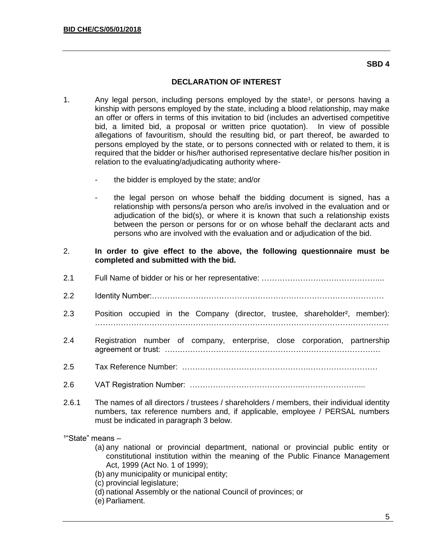### **SBD 4**

# **DECLARATION OF INTEREST**

- 1. Any legal person, including persons employed by the state<sup>1</sup>, or persons having a kinship with persons employed by the state, including a blood relationship, may make an offer or offers in terms of this invitation to bid (includes an advertised competitive bid, a limited bid, a proposal or written price quotation). In view of possible allegations of favouritism, should the resulting bid, or part thereof, be awarded to persons employed by the state, or to persons connected with or related to them, it is required that the bidder or his/her authorised representative declare his/her position in relation to the evaluating/adjudicating authority where
	- the bidder is employed by the state; and/or
	- the legal person on whose behalf the bidding document is signed, has a relationship with persons/a person who are/is involved in the evaluation and or adjudication of the bid(s), or where it is known that such a relationship exists between the person or persons for or on whose behalf the declarant acts and persons who are involved with the evaluation and or adjudication of the bid.
- 2. **In order to give effect to the above, the following questionnaire must be completed and submitted with the bid.**
- 2.1 Full Name of bidder or his or her representative: ………………………………………...
- 2.2 Identity Number:………………………………………………………………………………
- 2.3 Position occupied in the Company (director, trustee, shareholder<sup>2</sup>, member): ……………………………………………………………………………………………………
- 2.4 Registration number of company, enterprise, close corporation, partnership agreement or trust: …….………………………………………….……………………….
- 2.5 Tax Reference Number: ………………………………………….………………………
- 2.6 VAT Registration Number: ……………………………………..…………………....
- 2.6.1 The names of all directors / trustees / shareholders / members, their individual identity numbers, tax reference numbers and, if applicable, employee / PERSAL numbers must be indicated in paragraph 3 below.

 $1"$ State" means  $-$ 

- (a) any national or provincial department, national or provincial public entity or constitutional institution within the meaning of the Public Finance Management Act, 1999 (Act No. 1 of 1999);
- (b) any municipality or municipal entity;
- (c) provincial legislature;
- (d) national Assembly or the national Council of provinces; or
- (e) Parliament.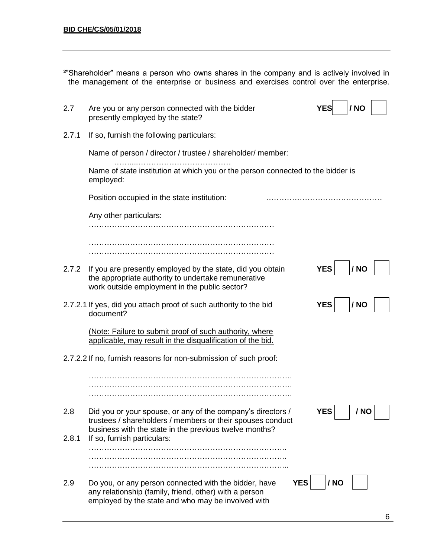| <sup>2"</sup> Shareholder" means a person who owns shares in the company and is actively involved in |  |  |  |  |  |
|------------------------------------------------------------------------------------------------------|--|--|--|--|--|
| the management of the enterprise or business and exercises control over the enterprise.              |  |  |  |  |  |

| 2.7   | Are you or any person connected with the bidder<br>presently employed by the state?                                                                                                 | / NO<br>YES        |
|-------|-------------------------------------------------------------------------------------------------------------------------------------------------------------------------------------|--------------------|
| 2.7.1 | If so, furnish the following particulars:                                                                                                                                           |                    |
|       | Name of person / director / trustee / shareholder/ member:                                                                                                                          |                    |
|       | Name of state institution at which you or the person connected to the bidder is<br>employed:                                                                                        |                    |
|       | Position occupied in the state institution:                                                                                                                                         |                    |
|       | Any other particulars:                                                                                                                                                              |                    |
|       |                                                                                                                                                                                     |                    |
| 2.7.2 | If you are presently employed by the state, did you obtain<br>the appropriate authority to undertake remunerative<br>work outside employment in the public sector?                  | <b>YES</b><br>/ NO |
|       | 2.7.2.1 If yes, did you attach proof of such authority to the bid<br>document?                                                                                                      | <b>YES</b><br>/ NO |
|       | (Note: Failure to submit proof of such authority, where<br>applicable, may result in the disqualification of the bid.                                                               |                    |
|       | 2.7.2.2 If no, furnish reasons for non-submission of such proof:                                                                                                                    |                    |
|       |                                                                                                                                                                                     |                    |
| 2.8   | Did you or your spouse, or any of the company's directors /<br>trustees / shareholders / members or their spouses conduct<br>business with the state in the previous twelve months? | <b>YES</b><br>/ NO |
| 2.8.1 | If so, furnish particulars:                                                                                                                                                         |                    |
| 2.9   | <b>YES</b><br>Do you, or any person connected with the bidder, have<br>any relationship (family, friend, other) with a person<br>employed by the state and who may be involved with | / NO               |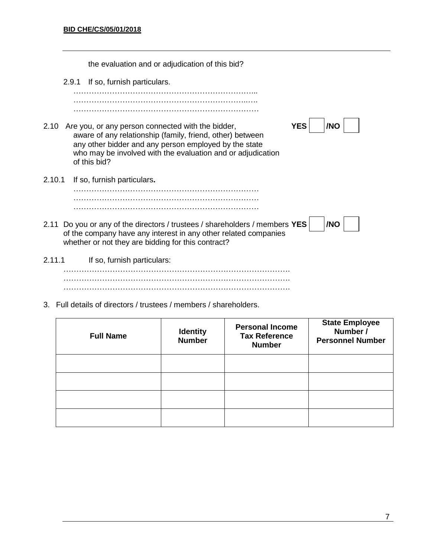the evaluation and or adjudication of this bid? 2.9.1 If so, furnish particulars. ……………………………………………………………... …………………………………………………………..…. ……………………………………………………………… 2.10 Are you, or any person connected with the bidder, **YES** YES **/NO** aware of any relationship (family, friend, other) between any other bidder and any person employed by the state who may be involved with the evaluation and or adjudication of this bid? 2.10.1 If so, furnish particulars**.** ……………………………………………………………… ……………………………………………………………… ……………………………………………………………… 2.11 Do you or any of the directors / trustees / shareholders / members **YES** | |**NO** of the company have any interest in any other related companies whether or not they are bidding for this contract? 2.11.1 If so, furnish particulars: ……………………………………………………………………………. ……………………………………………………………………………. …………………………………………………………………………….

3. Full details of directors / trustees / members / shareholders.

| <b>Full Name</b> | <b>Identity</b><br><b>Number</b> | <b>Personal Income</b><br><b>Tax Reference</b><br><b>Number</b> | <b>State Employee</b><br>Number /<br><b>Personnel Number</b> |
|------------------|----------------------------------|-----------------------------------------------------------------|--------------------------------------------------------------|
|                  |                                  |                                                                 |                                                              |
|                  |                                  |                                                                 |                                                              |
|                  |                                  |                                                                 |                                                              |
|                  |                                  |                                                                 |                                                              |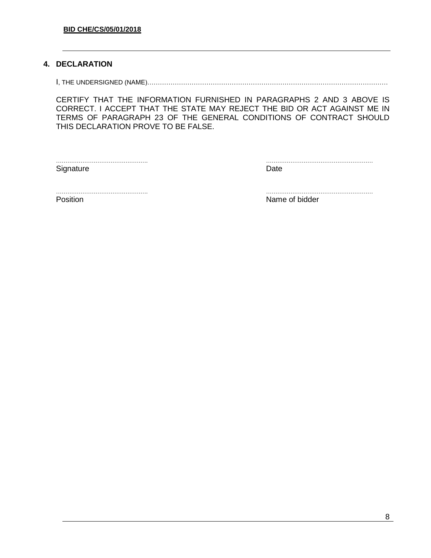# **4. DECLARATION**

I, THE UNDERSIGNED (NAME)……………………………………………………………………………………………………

CERTIFY THAT THE INFORMATION FURNISHED IN PARAGRAPHS 2 AND 3 ABOVE IS CORRECT. I ACCEPT THAT THE STATE MAY REJECT THE BID OR ACT AGAINST ME IN TERMS OF PARAGRAPH 23 OF THE GENERAL CONDITIONS OF CONTRACT SHOULD THIS DECLARATION PROVE TO BE FALSE.

Signature Date **Date** 

…………………………………………. …………………………………………………

…………………………………………. …………………………………………………

Position **Name of bidder Name of bidder**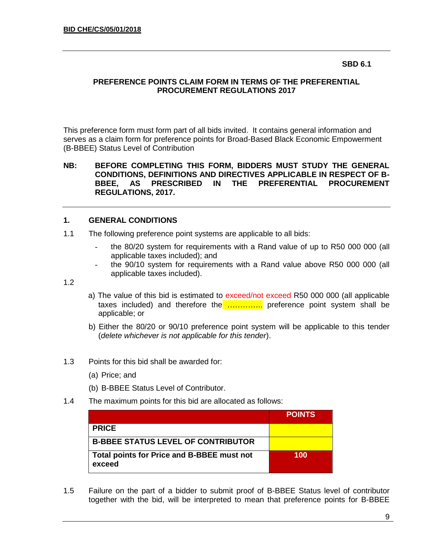#### **SBD 6.1**

## **PREFERENCE POINTS CLAIM FORM IN TERMS OF THE PREFERENTIAL PROCUREMENT REGULATIONS 2017**

This preference form must form part of all bids invited. It contains general information and serves as a claim form for preference points for Broad-Based Black Economic Empowerment (B-BBEE) Status Level of Contribution

#### **NB: BEFORE COMPLETING THIS FORM, BIDDERS MUST STUDY THE GENERAL CONDITIONS, DEFINITIONS AND DIRECTIVES APPLICABLE IN RESPECT OF B-BBEE, AS PRESCRIBED IN THE PREFERENTIAL PROCUREMENT REGULATIONS, 2017.**

### **1. GENERAL CONDITIONS**

- 1.1 The following preference point systems are applicable to all bids:
	- the 80/20 system for requirements with a Rand value of up to R50 000 000 (all applicable taxes included); and
	- the 90/10 system for requirements with a Rand value above R50 000 000 (all applicable taxes included).

1.2

- a) The value of this bid is estimated to exceed/not exceed R50 000 000 (all applicable taxes included) and therefore the ................ preference point system shall be applicable; or
- b) Either the 80/20 or 90/10 preference point system will be applicable to this tender (*delete whichever is not applicable for this tender*).
- 1.3 Points for this bid shall be awarded for:
	- (a) Price; and
	- (b) B-BBEE Status Level of Contributor.
- 1.4 The maximum points for this bid are allocated as follows:

|                                                      | <b>POINTS</b> |
|------------------------------------------------------|---------------|
| <b>PRICE</b>                                         |               |
| <b>B-BBEE STATUS LEVEL OF CONTRIBUTOR</b>            |               |
| Total points for Price and B-BBEE must not<br>exceed | 100           |

1.5 Failure on the part of a bidder to submit proof of B-BBEE Status level of contributor together with the bid, will be interpreted to mean that preference points for B-BBEE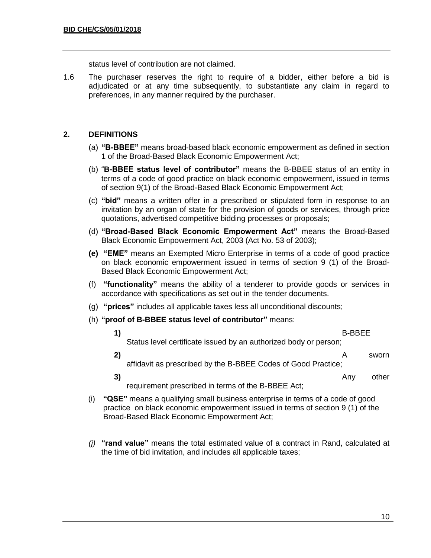status level of contribution are not claimed.

1.6 The purchaser reserves the right to require of a bidder, either before a bid is adjudicated or at any time subsequently, to substantiate any claim in regard to preferences, in any manner required by the purchaser.

# **2. DEFINITIONS**

- (a) **"B-BBEE"** means broad-based black economic empowerment as defined in section 1 of the Broad-Based Black Economic Empowerment Act;
- (b) "**B-BBEE status level of contributor"** means the B-BBEE status of an entity in terms of a code of good practice on black economic empowerment, issued in terms of section 9(1) of the Broad-Based Black Economic Empowerment Act;
- (c) **"bid"** means a written offer in a prescribed or stipulated form in response to an invitation by an organ of state for the provision of goods or services, through price quotations, advertised competitive bidding processes or proposals;
- (d) **"Broad-Based Black Economic Empowerment Act"** means the Broad-Based Black Economic Empowerment Act, 2003 (Act No. 53 of 2003);
- **(e) "EME"** means an Exempted Micro Enterprise in terms of a code of good practice on black economic empowerment issued in terms of section 9 (1) of the Broad-Based Black Economic Empowerment Act;
- (f) **"functionality"** means the ability of a tenderer to provide goods or services in accordance with specifications as set out in the tender documents.
- (g) **"prices"** includes all applicable taxes less all unconditional discounts;
- (h) **"proof of B-BBEE status level of contributor"** means:
	- **1)** B-BBEE Status level certificate issued by an authorized body or person; **2)** A sworn
		- affidavit as prescribed by the B-BBEE Codes of Good Practice;
		- **3)** Any other requirement prescribed in terms of the B-BBEE Act;
- (i) **"QSE"** means a qualifying small business enterprise in terms of a code of good practice on black economic empowerment issued in terms of section 9 (1) of the Broad-Based Black Economic Empowerment Act;
- *(j)* **"rand value"** means the total estimated value of a contract in Rand, calculated at the time of bid invitation, and includes all applicable taxes;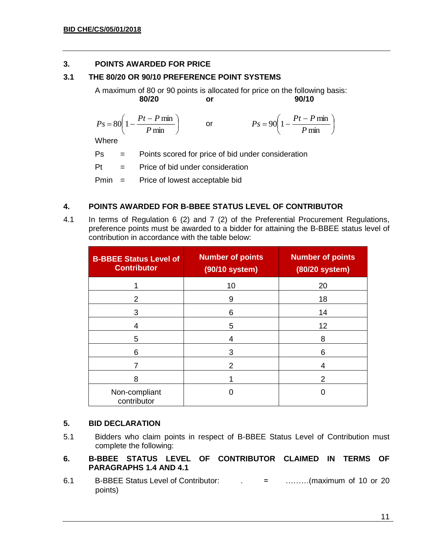# **3. POINTS AWARDED FOR PRICE**

# **3.1 THE 80/20 OR 90/10 PREFERENCE POINT SYSTEMS**

A maximum of 80 or 90 points is allocated for price on the following basis: **80/20 or 90/10**

I J  $\left(1-\frac{Pt-P\min}{\epsilon}\right)$ l  $= 80 \left( 1 - \frac{Pt - P \ln \theta}{P \min \theta} \right)$  $80 \left(1 - \frac{Pt - P \min}{\sigma} \right)$ *P*  $P_s = 80 \left( 1 - \frac{Pt - P}{F} \right)$ or I J  $\left(1-\frac{Pt-P\min}{\epsilon}\right)$ l  $= 90 \left(1 - \frac{Pt - P \ln \theta}{P \min \theta}\right)$  $90 \left(1 - \frac{Pt - P \min}{\sigma} \right)$ *P*  $P_s = 90 \left( 1 - \frac{Pt - P}{F} \right)$ 

**Where** 

Ps = Points scored for price of bid under consideration

 $Pt =$  Price of bid under consideration

Pmin = Price of lowest acceptable bid

# **4. POINTS AWARDED FOR B-BBEE STATUS LEVEL OF CONTRIBUTOR**

4.1 In terms of Regulation 6 (2) and 7 (2) of the Preferential Procurement Regulations, preference points must be awarded to a bidder for attaining the B-BBEE status level of contribution in accordance with the table below:

| <b>B-BBEE Status Level of</b><br><b>Contributor</b> | <b>Number of points</b><br>(90/10 system) | <b>Number of points</b><br>(80/20 system) |
|-----------------------------------------------------|-------------------------------------------|-------------------------------------------|
|                                                     | 10                                        | 20                                        |
| 2                                                   | 9                                         | 18                                        |
| 3                                                   | 6                                         | 14                                        |
| 4                                                   | 5                                         | 12                                        |
| 5                                                   | 4                                         | 8                                         |
| 6                                                   | 3                                         | 6                                         |
|                                                     | 2                                         |                                           |
| 8                                                   |                                           | 2                                         |
| Non-compliant<br>contributor                        |                                           |                                           |

# **5. BID DECLARATION**

- 5.1 Bidders who claim points in respect of B-BBEE Status Level of Contribution must complete the following:
- **6. B-BBEE STATUS LEVEL OF CONTRIBUTOR CLAIMED IN TERMS OF PARAGRAPHS 1.4 AND 4.1**
- 6.1 B-BBEE Status Level of Contributor: . = ………(maximum of 10 or 20 points)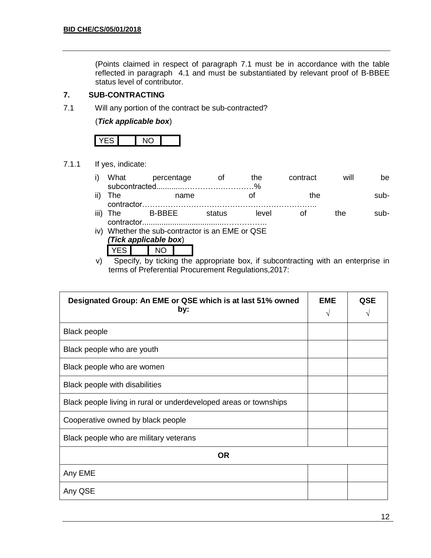(Points claimed in respect of paragraph 7.1 must be in accordance with the table reflected in paragraph 4.1 and must be substantiated by relevant proof of B-BBEE status level of contributor.

# **7. SUB-CONTRACTING**

7.1 Will any portion of the contract be sub-contracted?

(*Tick applicable box*)

7.1.1 If yes, indicate:

| i) What | percentage | the t | contract | will | be.  |
|---------|------------|-------|----------|------|------|
|         |            |       |          |      |      |
| ii) The | name       |       | the      |      | sub- |

|      | $\mathbf{u}$ , $\mathbf{u}$ | .             | . .   | . |     | ັ    |
|------|-----------------------------|---------------|-------|---|-----|------|
|      |                             |               |       |   |     |      |
| iii) |                             | <b>B-RRFF</b> | level |   | `he | ⊸un- |
|      |                             |               |       |   |     |      |

- iv) Whether the sub-contractor is an EME or QSE *(Tick applicable box*) YES NO
- v) Specify, by ticking the appropriate box, if subcontracting with an enterprise in terms of Preferential Procurement Regulations,2017:

| Designated Group: An EME or QSE which is at last 51% owned<br>by: | <b>EME</b><br>V | <b>QSE</b> |
|-------------------------------------------------------------------|-----------------|------------|
| <b>Black people</b>                                               |                 |            |
| Black people who are youth                                        |                 |            |
| Black people who are women                                        |                 |            |
| Black people with disabilities                                    |                 |            |
| Black people living in rural or underdeveloped areas or townships |                 |            |
| Cooperative owned by black people                                 |                 |            |
| Black people who are military veterans                            |                 |            |
| <b>OR</b>                                                         |                 |            |
| Any EME                                                           |                 |            |
| Any QSE                                                           |                 |            |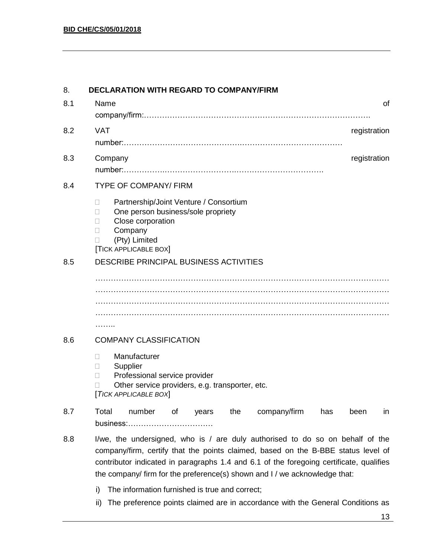| 8.  | <b>DECLARATION WITH REGARD TO COMPANY/FIRM</b>                                                                                                                                                                                                                                                                                              |
|-----|---------------------------------------------------------------------------------------------------------------------------------------------------------------------------------------------------------------------------------------------------------------------------------------------------------------------------------------------|
| 8.1 | Name<br>οf                                                                                                                                                                                                                                                                                                                                  |
|     |                                                                                                                                                                                                                                                                                                                                             |
| 8.2 | <b>VAT</b><br>registration                                                                                                                                                                                                                                                                                                                  |
|     |                                                                                                                                                                                                                                                                                                                                             |
| 8.3 | Company<br>registration                                                                                                                                                                                                                                                                                                                     |
|     |                                                                                                                                                                                                                                                                                                                                             |
| 8.4 | <b>TYPE OF COMPANY/ FIRM</b>                                                                                                                                                                                                                                                                                                                |
|     | Partnership/Joint Venture / Consortium<br>$\Box$<br>One person business/sole propriety<br>П<br>Close corporation<br>Ш<br>Company<br>П<br>(Pty) Limited<br><b>TICK APPLICABLE BOX</b>                                                                                                                                                        |
| 8.5 | DESCRIBE PRINCIPAL BUSINESS ACTIVITIES                                                                                                                                                                                                                                                                                                      |
|     |                                                                                                                                                                                                                                                                                                                                             |
|     |                                                                                                                                                                                                                                                                                                                                             |
|     |                                                                                                                                                                                                                                                                                                                                             |
|     | .                                                                                                                                                                                                                                                                                                                                           |
| 8.6 | <b>COMPANY CLASSIFICATION</b>                                                                                                                                                                                                                                                                                                               |
|     | Manufacturer<br>$\Box$<br>Supplier<br>П<br>Professional service provider<br>Other service providers, e.g. transporter, etc.<br>[TICK APPLICABLE BOX]                                                                                                                                                                                        |
| 8.7 | Total<br>number<br>the<br>company/firm<br>Οf<br>has<br>been<br>years<br>in<br>business:                                                                                                                                                                                                                                                     |
| 8.8 | I/we, the undersigned, who is / are duly authorised to do so on behalf of the<br>company/firm, certify that the points claimed, based on the B-BBE status level of<br>contributor indicated in paragraphs 1.4 and 6.1 of the foregoing certificate, qualifies<br>the company/ firm for the preference(s) shown and I / we acknowledge that: |

- i) The information furnished is true and correct;
- ii) The preference points claimed are in accordance with the General Conditions as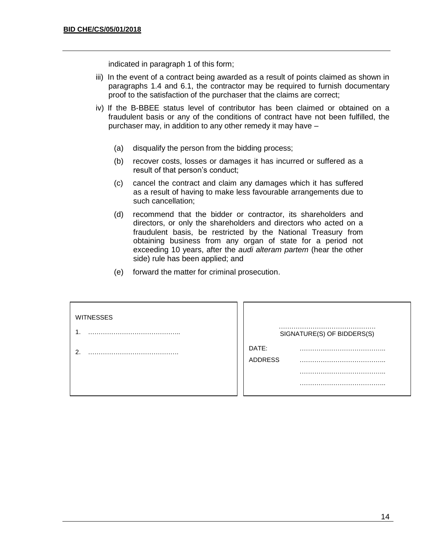indicated in paragraph 1 of this form;

- iii) In the event of a contract being awarded as a result of points claimed as shown in paragraphs 1.4 and 6.1, the contractor may be required to furnish documentary proof to the satisfaction of the purchaser that the claims are correct;
- iv) If the B-BBEE status level of contributor has been claimed or obtained on a fraudulent basis or any of the conditions of contract have not been fulfilled, the purchaser may, in addition to any other remedy it may have –
	- (a) disqualify the person from the bidding process;
	- (b) recover costs, losses or damages it has incurred or suffered as a result of that person's conduct;
	- (c) cancel the contract and claim any damages which it has suffered as a result of having to make less favourable arrangements due to such cancellation;
	- (d) recommend that the bidder or contractor, its shareholders and directors, or only the shareholders and directors who acted on a fraudulent basis, be restricted by the National Treasury from obtaining business from any organ of state for a period not exceeding 10 years, after the *audi alteram partem* (hear the other side) rule has been applied; and
	- (e) forward the matter for criminal prosecution.

| <b>WITNESSES</b> | SIGNATURE(S) OF BIDDERS(S) |
|------------------|----------------------------|
| ົ                | DATE:<br><b>ADDRESS</b>    |
|                  |                            |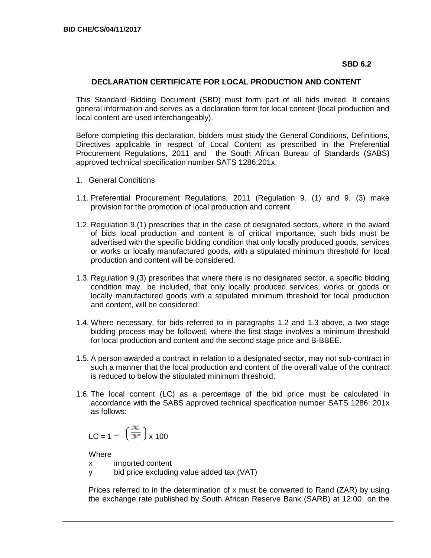#### **SBD 6.2**

### **DECLARATION CERTIFICATE FOR LOCAL PRODUCTION AND CONTENT**

This Standard Bidding Document (SBD) must form part of all bids invited. It contains general information and serves as a declaration form for local content (local production and local content are used interchangeably).

Before completing this declaration, bidders must study the General Conditions, Definitions, Directives applicable in respect of Local Content as prescribed in the Preferential Procurement Regulations, 2011 and the South African Bureau of Standards (SABS) approved technical specification number SATS 1286:201x.

- 1. General Conditions
- 1.1. Preferential Procurement Regulations, 2011 (Regulation 9. (1) and 9. (3) make provision for the promotion of local production and content.
- 1.2. Regulation 9.(1) prescribes that in the case of designated sectors, where in the award of bids local production and content is of critical importance, such bids must be advertised with the specific bidding condition that only locally produced goods, services or works or locally manufactured goods, with a stipulated minimum threshold for local production and content will be considered.
- 1.3. Regulation 9.(3) prescribes that where there is no designated sector, a specific bidding condition may be included, that only locally produced services, works or goods or locally manufactured goods with a stipulated minimum threshold for local production and content, will be considered.
- 1.4. Where necessary, for bids referred to in paragraphs 1.2 and 1.3 above, a two stage bidding process may be followed, where the first stage involves a minimum threshold for local production and content and the second stage price and B-BBEE.
- 1.5. A person awarded a contract in relation to a designated sector, may not sub-contract in such a manner that the local production and content of the overall value of the contract is reduced to below the stipulated minimum threshold.
- 1.6. The local content (LC) as a percentage of the bid price must be calculated in accordance with the SABS approved technical specification number SATS 1286: 201x as follows:

$$
LC = 1 - \left(\frac{x}{y}\right) \times 100
$$

**Where** 

- x imported content
- y bid price excluding value added tax (VAT)

Prices referred to in the determination of x must be converted to Rand (ZAR) by using the exchange rate published by South African Reserve Bank (SARB) at 12:00 on the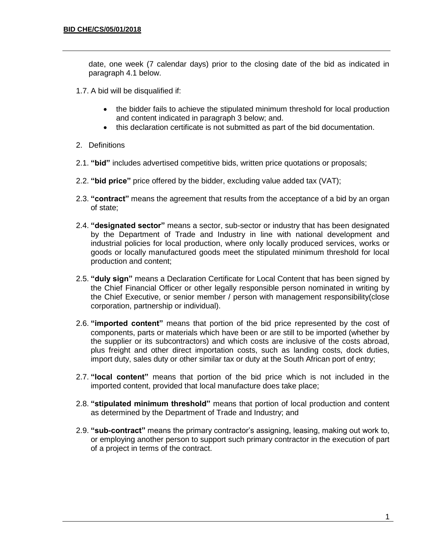date, one week (7 calendar days) prior to the closing date of the bid as indicated in paragraph 4.1 below.

- 1.7. A bid will be disqualified if:
	- the bidder fails to achieve the stipulated minimum threshold for local production and content indicated in paragraph 3 below; and.
	- this declaration certificate is not submitted as part of the bid documentation.
- 2. Definitions
- 2.1. **"bid"** includes advertised competitive bids, written price quotations or proposals;
- 2.2. **"bid price"** price offered by the bidder, excluding value added tax (VAT);
- 2.3. **"contract"** means the agreement that results from the acceptance of a bid by an organ of state;
- 2.4. **"designated sector"** means a sector, sub-sector or industry that has been designated by the Department of Trade and Industry in line with national development and industrial policies for local production, where only locally produced services, works or goods or locally manufactured goods meet the stipulated minimum threshold for local production and content;
- 2.5. **"duly sign"** means a Declaration Certificate for Local Content that has been signed by the Chief Financial Officer or other legally responsible person nominated in writing by the Chief Executive, or senior member / person with management responsibility(close corporation, partnership or individual).
- 2.6. **"imported content"** means that portion of the bid price represented by the cost of components, parts or materials which have been or are still to be imported (whether by the supplier or its subcontractors) and which costs are inclusive of the costs abroad, plus freight and other direct importation costs, such as landing costs, dock duties, import duty, sales duty or other similar tax or duty at the South African port of entry;
- 2.7. **"local content"** means that portion of the bid price which is not included in the imported content, provided that local manufacture does take place;
- 2.8. **"stipulated minimum threshold"** means that portion of local production and content as determined by the Department of Trade and Industry; and
- 2.9. **"sub-contract"** means the primary contractor's assigning, leasing, making out work to, or employing another person to support such primary contractor in the execution of part of a project in terms of the contract.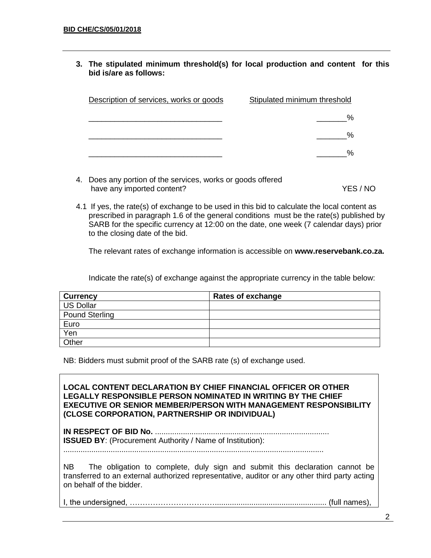**3. The stipulated minimum threshold(s) for local production and content for this bid is/are as follows:**

| Description of services, works or goods | Stipulated minimum threshold |
|-----------------------------------------|------------------------------|
|                                         |                              |
|                                         | %                            |
|                                         |                              |

- 4. Does any portion of the services, works or goods offered have any imported content? YES / NO
- 4.1 If yes, the rate(s) of exchange to be used in this bid to calculate the local content as prescribed in paragraph 1.6 of the general conditions must be the rate(s) published by SARB for the specific currency at 12:00 on the date, one week (7 calendar days) prior to the closing date of the bid.

The relevant rates of exchange information is accessible on **www.reservebank.co.za.**

Indicate the rate(s) of exchange against the appropriate currency in the table below:

| <b>Currency</b> | <b>Rates of exchange</b> |
|-----------------|--------------------------|
| US Dollar       |                          |
| Pound Sterling  |                          |
| Euro            |                          |
| Yen             |                          |
| Other           |                          |

NB: Bidders must submit proof of the SARB rate (s) of exchange used.

**LOCAL CONTENT DECLARATION BY CHIEF FINANCIAL OFFICER OR OTHER LEGALLY RESPONSIBLE PERSON NOMINATED IN WRITING BY THE CHIEF EXECUTIVE OR SENIOR MEMBER/PERSON WITH MANAGEMENT RESPONSIBILITY (CLOSE CORPORATION, PARTNERSHIP OR INDIVIDUAL) IN RESPECT OF BID No.** ................................................................................. **ISSUED BY**: (Procurement Authority / Name of Institution): ......................................................................................................................... NB The obligation to complete, duly sign and submit this declaration cannot be transferred to an external authorized representative, auditor or any other third party acting on behalf of the bidder.

I, the undersigned, …………………………….................................................... (full names),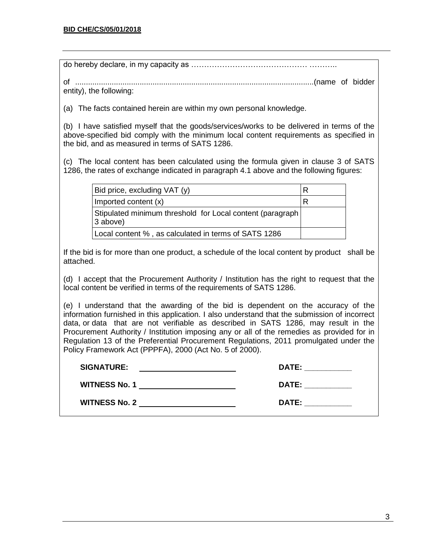| entity), the following:                                                                                                                                                                                                                                                                                                                                                                                                                                                                                                    |                                                                                                                                                                                                                                |  |  |
|----------------------------------------------------------------------------------------------------------------------------------------------------------------------------------------------------------------------------------------------------------------------------------------------------------------------------------------------------------------------------------------------------------------------------------------------------------------------------------------------------------------------------|--------------------------------------------------------------------------------------------------------------------------------------------------------------------------------------------------------------------------------|--|--|
| (a) The facts contained herein are within my own personal knowledge.                                                                                                                                                                                                                                                                                                                                                                                                                                                       |                                                                                                                                                                                                                                |  |  |
| (b) I have satisfied myself that the goods/services/works to be delivered in terms of the<br>above-specified bid comply with the minimum local content requirements as specified in<br>the bid, and as measured in terms of SATS 1286.                                                                                                                                                                                                                                                                                     |                                                                                                                                                                                                                                |  |  |
| (c) The local content has been calculated using the formula given in clause 3 of SATS<br>1286, the rates of exchange indicated in paragraph 4.1 above and the following figures:                                                                                                                                                                                                                                                                                                                                           |                                                                                                                                                                                                                                |  |  |
| Bid price, excluding VAT (y)                                                                                                                                                                                                                                                                                                                                                                                                                                                                                               | $R_{\perp}$                                                                                                                                                                                                                    |  |  |
| Imported content (x)                                                                                                                                                                                                                                                                                                                                                                                                                                                                                                       | $\mathsf{R}$                                                                                                                                                                                                                   |  |  |
| Stipulated minimum threshold for Local content (paragraph<br>3 above)                                                                                                                                                                                                                                                                                                                                                                                                                                                      |                                                                                                                                                                                                                                |  |  |
| Local content %, as calculated in terms of SATS 1286                                                                                                                                                                                                                                                                                                                                                                                                                                                                       |                                                                                                                                                                                                                                |  |  |
| If the bid is for more than one product, a schedule of the local content by product shall be<br>attached.                                                                                                                                                                                                                                                                                                                                                                                                                  |                                                                                                                                                                                                                                |  |  |
| (d) I accept that the Procurement Authority / Institution has the right to request that the<br>local content be verified in terms of the requirements of SATS 1286.                                                                                                                                                                                                                                                                                                                                                        |                                                                                                                                                                                                                                |  |  |
| (e) I understand that the awarding of the bid is dependent on the accuracy of the<br>information furnished in this application. I also understand that the submission of incorrect<br>data, or data that are not verifiable as described in SATS 1286, may result in the<br>Procurement Authority / Institution imposing any or all of the remedies as provided for in<br>Regulation 13 of the Preferential Procurement Regulations, 2011 promulgated under the<br>Policy Framework Act (PPPFA), 2000 (Act No. 5 of 2000). |                                                                                                                                                                                                                                |  |  |
| <b>SIGNATURE:</b>                                                                                                                                                                                                                                                                                                                                                                                                                                                                                                          | DATE: ___________                                                                                                                                                                                                              |  |  |
| <b>WITNESS No. 1</b> No. 1                                                                                                                                                                                                                                                                                                                                                                                                                                                                                                 | DATE: the contract of the contract of the contract of the contract of the contract of the contract of the contract of the contract of the contract of the contract of the contract of the contract of the contract of the cont |  |  |
| DATE: the contract of the contract of the contract of the contract of the contract of the contract of the contract of the contract of the contract of the contract of the contract of the contract of the contract of the cont<br>WITNESS No. 2 and 2 and 2 and 2 and 2 and 2 and 2 and 2 and 2 and 2 and 2 and 2 and 2 and 2 and 2 and 2 and 2 and 2 and 2 and 2 and 2 and 2 and 2 and 2 and 2 and 2 and 2 and 2 and 2 and 2 and 2 and 2 and 2 and 2 and 2 and                                                            |                                                                                                                                                                                                                                |  |  |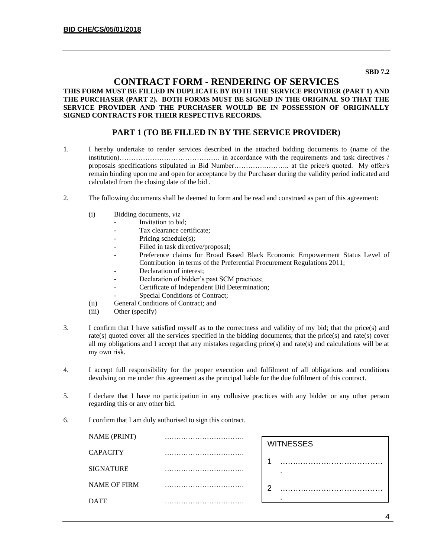#### **SBD 7.2**

### **CONTRACT FORM - RENDERING OF SERVICES**

#### **THIS FORM MUST BE FILLED IN DUPLICATE BY BOTH THE SERVICE PROVIDER (PART 1) AND THE PURCHASER (PART 2). BOTH FORMS MUST BE SIGNED IN THE ORIGINAL SO THAT THE SERVICE PROVIDER AND THE PURCHASER WOULD BE IN POSSESSION OF ORIGINALLY SIGNED CONTRACTS FOR THEIR RESPECTIVE RECORDS.**

### **PART 1 (TO BE FILLED IN BY THE SERVICE PROVIDER)**

- 1. I hereby undertake to render services described in the attached bidding documents to (name of the institution)……………………………………. in accordance with the requirements and task directives / proposals specifications stipulated in Bid Number………….……….. at the price/s quoted. My offer/s remain binding upon me and open for acceptance by the Purchaser during the validity period indicated and calculated from the closing date of the bid .
- 2. The following documents shall be deemed to form and be read and construed as part of this agreement:
	- (i) Bidding documents, *viz*
		- *-* Invitation to bid;
		- *-* Tax clearance certificate;
		- Pricing schedule(s);
		- Filled in task directive/proposal;
		- *-* Preference claims for Broad Based Black Economic Empowerment Status Level of Contribution in terms of the Preferential Procurement Regulations 2011;
		- *-* Declaration of interest;
		- *-* Declaration of bidder's past SCM practices;
		- *-* Certificate of Independent Bid Determination;
		- **Special Conditions of Contract;**
	- (ii) General Conditions of Contract; and
	- (iii) Other (specify)
- 3. I confirm that I have satisfied myself as to the correctness and validity of my bid; that the price(s) and rate(s) quoted cover all the services specified in the bidding documents; that the price(s) and rate(s) cover all my obligations and I accept that any mistakes regarding price(s) and rate(s) and calculations will be at my own risk.
- 4. I accept full responsibility for the proper execution and fulfilment of all obligations and conditions devolving on me under this agreement as the principal liable for the due fulfilment of this contract.
- 5. I declare that I have no participation in any collusive practices with any bidder or any other person regarding this or any other bid.
- 6. I confirm that I am duly authorised to sign this contract.

| <b>NAME (PRINT)</b> |   |                  |
|---------------------|---|------------------|
|                     |   | <b>WITNESSES</b> |
| <b>CAPACITY</b>     |   |                  |
| <b>SIGNATURE</b>    |   |                  |
| <b>NAME OF FIRM</b> |   | ົ                |
| <b>DATE</b>         | . |                  |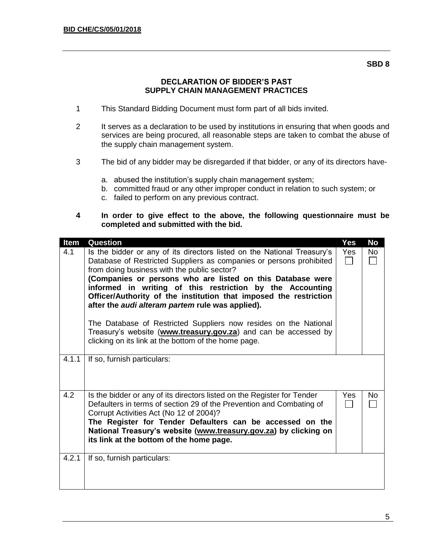#### **SBD 8**

# **DECLARATION OF BIDDER'S PAST SUPPLY CHAIN MANAGEMENT PRACTICES**

- 1 This Standard Bidding Document must form part of all bids invited.
- 2 It serves as a declaration to be used by institutions in ensuring that when goods and services are being procured, all reasonable steps are taken to combat the abuse of the supply chain management system.
- 3 The bid of any bidder may be disregarded if that bidder, or any of its directors have
	- a. abused the institution's supply chain management system;
	- b. committed fraud or any other improper conduct in relation to such system; or
	- c. failed to perform on any previous contract.
- **4 In order to give effect to the above, the following questionnaire must be completed and submitted with the bid.**

| Item  | Question                                                                                                                                                                                                                                                                                                                                                                                                                                                                                                                                                                                        | Yes        | <b>No</b> |
|-------|-------------------------------------------------------------------------------------------------------------------------------------------------------------------------------------------------------------------------------------------------------------------------------------------------------------------------------------------------------------------------------------------------------------------------------------------------------------------------------------------------------------------------------------------------------------------------------------------------|------------|-----------|
| 4.1   | Is the bidder or any of its directors listed on the National Treasury's<br>Database of Restricted Suppliers as companies or persons prohibited<br>from doing business with the public sector?<br>(Companies or persons who are listed on this Database were<br>informed in writing of this restriction by the Accounting<br>Officer/Authority of the institution that imposed the restriction<br>after the <i>audi alteram partem</i> rule was applied).<br>The Database of Restricted Suppliers now resides on the National<br>Treasury's website (www.treasury.gov.za) and can be accessed by | <b>Yes</b> | No        |
| 4.1.1 | clicking on its link at the bottom of the home page.<br>If so, furnish particulars:                                                                                                                                                                                                                                                                                                                                                                                                                                                                                                             |            |           |
|       |                                                                                                                                                                                                                                                                                                                                                                                                                                                                                                                                                                                                 |            |           |
| 4.2   | Is the bidder or any of its directors listed on the Register for Tender<br>Defaulters in terms of section 29 of the Prevention and Combating of<br>Corrupt Activities Act (No 12 of 2004)?<br>The Register for Tender Defaulters can be accessed on the<br>National Treasury's website (www.treasury.gov.za) by clicking on<br>its link at the bottom of the home page.                                                                                                                                                                                                                         | Yes.       | No.       |
| 4.2.1 | If so, furnish particulars:                                                                                                                                                                                                                                                                                                                                                                                                                                                                                                                                                                     |            |           |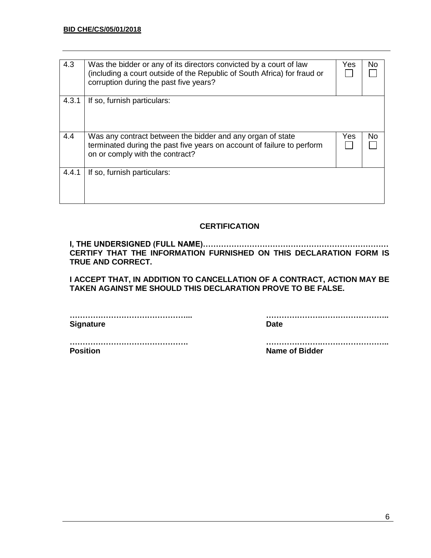| 4.3   | Was the bidder or any of its directors convicted by a court of law<br>(including a court outside of the Republic of South Africa) for fraud or<br>corruption during the past five years? | Yes | No |
|-------|------------------------------------------------------------------------------------------------------------------------------------------------------------------------------------------|-----|----|
| 4.3.1 | If so, furnish particulars:                                                                                                                                                              |     |    |
| 4.4   | Was any contract between the bidder and any organ of state<br>terminated during the past five years on account of failure to perform<br>on or comply with the contract?                  | Yes | No |
| 4.4.1 | If so, furnish particulars:                                                                                                                                                              |     |    |

# **CERTIFICATION**

**I, THE UNDERSIGNED (FULL NAME)……………………………………………………………… CERTIFY THAT THE INFORMATION FURNISHED ON THIS DECLARATION FORM IS TRUE AND CORRECT.**

**I ACCEPT THAT, IN ADDITION TO CANCELLATION OF A CONTRACT, ACTION MAY BE TAKEN AGAINST ME SHOULD THIS DECLARATION PROVE TO BE FALSE.**

**Signature Date** 

**………………………………………... ………………….……………………..**

**………………………………………. ………………….…………………….. Position Name of Bidder**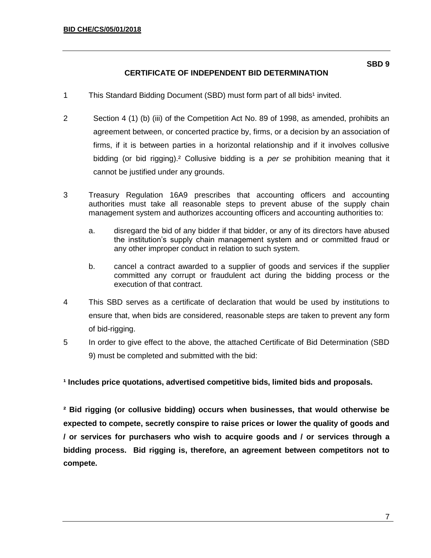- 1 This Standard Bidding Document (SBD) must form part of all bids<sup>1</sup> invited.
- 2 Section 4 (1) (b) (iii) of the Competition Act No. 89 of 1998, as amended, prohibits an agreement between, or concerted practice by, firms, or a decision by an association of firms, if it is between parties in a horizontal relationship and if it involves collusive bidding (or bid rigging).² Collusive bidding is a *per se* prohibition meaning that it cannot be justified under any grounds.
- 3 Treasury Regulation 16A9 prescribes that accounting officers and accounting authorities must take all reasonable steps to prevent abuse of the supply chain management system and authorizes accounting officers and accounting authorities to:
	- a. disregard the bid of any bidder if that bidder, or any of its directors have abused the institution's supply chain management system and or committed fraud or any other improper conduct in relation to such system.
	- b. cancel a contract awarded to a supplier of goods and services if the supplier committed any corrupt or fraudulent act during the bidding process or the execution of that contract.
- 4 This SBD serves as a certificate of declaration that would be used by institutions to ensure that, when bids are considered, reasonable steps are taken to prevent any form of bid-rigging.
- 5 In order to give effect to the above, the attached Certificate of Bid Determination (SBD 9) must be completed and submitted with the bid:

**¹ Includes price quotations, advertised competitive bids, limited bids and proposals.**

**² Bid rigging (or collusive bidding) occurs when businesses, that would otherwise be expected to compete, secretly conspire to raise prices or lower the quality of goods and / or services for purchasers who wish to acquire goods and / or services through a bidding process. Bid rigging is, therefore, an agreement between competitors not to compete.**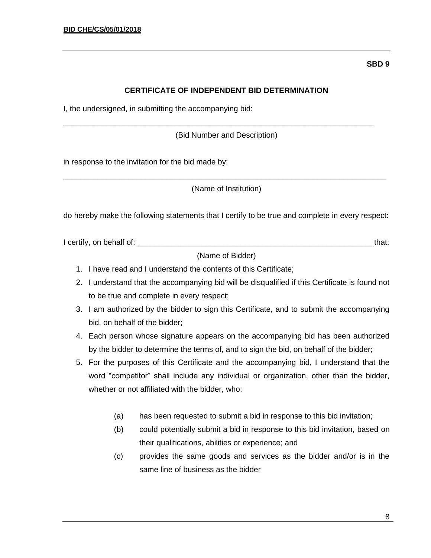# **CERTIFICATE OF INDEPENDENT BID DETERMINATION**

I, the undersigned, in submitting the accompanying bid:

(Bid Number and Description)

\_\_\_\_\_\_\_\_\_\_\_\_\_\_\_\_\_\_\_\_\_\_\_\_\_\_\_\_\_\_\_\_\_\_\_\_\_\_\_\_\_\_\_\_\_\_\_\_\_\_\_\_\_\_\_\_\_\_\_\_\_\_\_\_\_\_\_\_\_\_\_\_

in response to the invitation for the bid made by:

\_\_\_\_\_\_\_\_\_\_\_\_\_\_\_\_\_\_\_\_\_\_\_\_\_\_\_\_\_\_\_\_\_\_\_\_\_\_\_\_\_\_\_\_\_\_\_\_\_\_\_\_\_\_\_\_\_\_\_\_\_\_\_\_\_\_\_\_\_\_\_\_\_\_\_ (Name of Institution)

do hereby make the following statements that I certify to be true and complete in every respect:

I certify, on behalf of: \_\_\_\_\_\_\_\_\_\_\_\_\_\_\_\_\_\_\_\_\_\_\_\_\_\_\_\_\_\_\_\_\_\_\_\_\_\_\_\_\_\_\_\_\_\_\_\_\_\_\_\_\_\_\_that:

(Name of Bidder)

- 1. I have read and I understand the contents of this Certificate;
- 2. I understand that the accompanying bid will be disqualified if this Certificate is found not to be true and complete in every respect;
- 3. I am authorized by the bidder to sign this Certificate, and to submit the accompanying bid, on behalf of the bidder;
- 4. Each person whose signature appears on the accompanying bid has been authorized by the bidder to determine the terms of, and to sign the bid, on behalf of the bidder;
- 5. For the purposes of this Certificate and the accompanying bid, I understand that the word "competitor" shall include any individual or organization, other than the bidder, whether or not affiliated with the bidder, who:
	- (a) has been requested to submit a bid in response to this bid invitation;
	- (b) could potentially submit a bid in response to this bid invitation, based on their qualifications, abilities or experience; and
	- (c) provides the same goods and services as the bidder and/or is in the same line of business as the bidder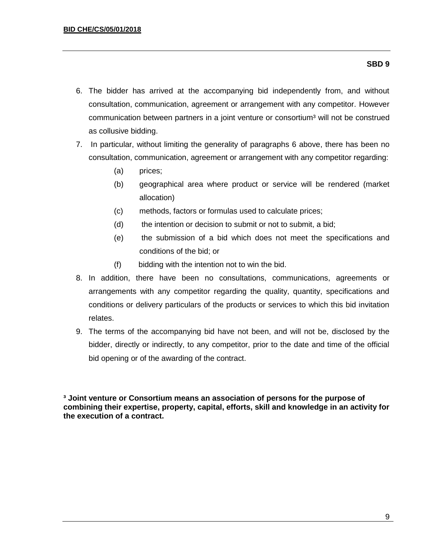#### **SBD 9**

- 6. The bidder has arrived at the accompanying bid independently from, and without consultation, communication, agreement or arrangement with any competitor. However communication between partners in a joint venture or consortium<sup>3</sup> will not be construed as collusive bidding.
- 7. In particular, without limiting the generality of paragraphs 6 above, there has been no consultation, communication, agreement or arrangement with any competitor regarding:
	- (a) prices;
	- (b) geographical area where product or service will be rendered (market allocation)
	- (c) methods, factors or formulas used to calculate prices;
	- (d) the intention or decision to submit or not to submit, a bid;
	- (e) the submission of a bid which does not meet the specifications and conditions of the bid; or
	- (f) bidding with the intention not to win the bid.
- 8. In addition, there have been no consultations, communications, agreements or arrangements with any competitor regarding the quality, quantity, specifications and conditions or delivery particulars of the products or services to which this bid invitation relates.
- 9. The terms of the accompanying bid have not been, and will not be, disclosed by the bidder, directly or indirectly, to any competitor, prior to the date and time of the official bid opening or of the awarding of the contract.

**³ Joint venture or Consortium means an association of persons for the purpose of combining their expertise, property, capital, efforts, skill and knowledge in an activity for the execution of a contract.**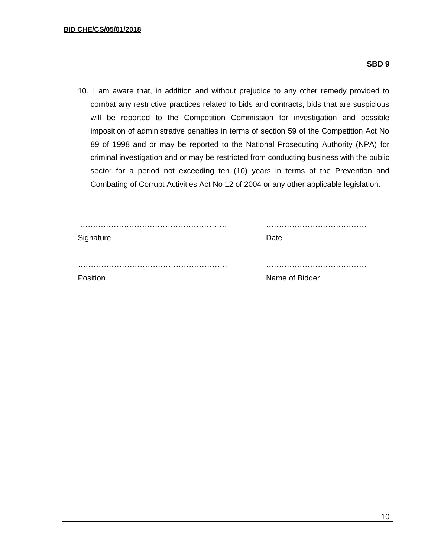#### **SBD 9**

10. I am aware that, in addition and without prejudice to any other remedy provided to combat any restrictive practices related to bids and contracts, bids that are suspicious will be reported to the Competition Commission for investigation and possible imposition of administrative penalties in terms of section 59 of the Competition Act No 89 of 1998 and or may be reported to the National Prosecuting Authority (NPA) for criminal investigation and or may be restricted from conducting business with the public sector for a period not exceeding ten (10) years in terms of the Prevention and Combating of Corrupt Activities Act No 12 of 2004 or any other applicable legislation.

| Signature | Date           |
|-----------|----------------|
|           |                |
| Position  | Name of Bidder |